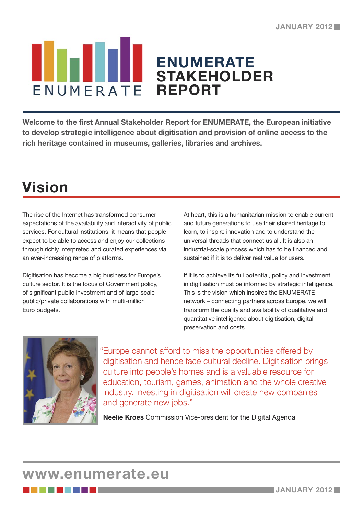#### **ENUMERATE STAKEHOLDER**  ENUMERATE **REPORT**

**Welcome to the first Annual Stakeholder Report for ENUMERATE, the European initiative to develop strategic intelligence about digitisation and provision of online access to the rich heritage contained in museums, galleries, libraries and archives.**

## **Vision**

The rise of the Internet has transformed consumer expectations of the availability and interactivity of public services. For cultural institutions, it means that people expect to be able to access and enjoy our collections through richly interpreted and curated experiences via an ever-increasing range of platforms.

Digitisation has become a big business for Europe's culture sector. It is the focus of Government policy, of significant public investment and of large-scale public/private collaborations with multi-million Euro budgets.

At heart, this is a humanitarian mission to enable current and future generations to use their shared heritage to learn, to inspire innovation and to understand the universal threads that connect us all. It is also an industrial-scale process which has to be financed and sustained if it is to deliver real value for users.

If it is to achieve its full potential, policy and investment in digitisation must be informed by strategic intelligence. This is the vision which inspires the ENUMERATE network – connecting partners across Europe, we will transform the quality and availability of qualitative and quantitative intelligence about digitisation, digital preservation and costs.



"Europe cannot afford to miss the opportunities offered by digitisation and hence face cultural decline. Digitisation brings culture into people's homes and is a valuable resource for education, tourism, games, animation and the whole creative industry. Investing in digitisation will create new companies and generate new jobs."

**Neelie Kroes** Commission Vice-president for the Digital Agenda

#### **www.enumerate.eu**

-------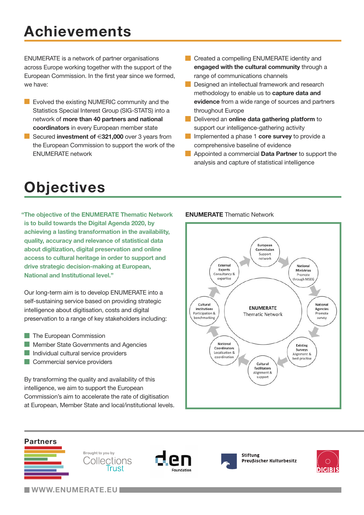# **Achievements**

ENUMERATE is a network of partner organisations across Europe working together with the support of the European Commission. In the first year since we formed, we have:

- **EVOLUAN** Evolved the existing NUMERIC community and the Statistics Special Interest Group (SIG-STATS) into a network of **more than 40 partners and national coordinators** in every European member state
- Secured **investment of** €**321,000** over 3 years from  $\mathcal{L}_{\mathcal{A}}$ the European Commission to support the work of the ENUMERATE network
- **Created a compelling ENUMERATE identity and engaged with the cultural community** through a range of communications channels
- **Tale** Designed an intellectual framework and research methodology to enable us to **capture data and evidence** from a wide range of sources and partners throughout Europe
- **Delivered an online data gathering platform** to support our intelligence-gathering activity
- Implemented a phase 1 **core survey** to provide a  $\overline{\mathcal{L}}$ comprehensive baseline of evidence
- **Appointed a commercial Data Partner** to support the analysis and capture of statistical intelligence

### **Objectives**

**"The objective of the ENUMERATE Thematic Network is to build towards the Digital Agenda 2020, by achieving a lasting transformation in the availability, quality, accuracy and relevance of statistical data about digitization, digital preservation and online access to cultural heritage in order to support and drive strategic decision-making at European, National and Institutional level."**

Our long-term aim is to develop ENUMERATE into a self-sustaining service based on providing strategic intelligence about digitisation, costs and digital preservation to a range of key stakeholders including:

- The European Commission L.
- Member State Governments and Agencies
- Individual cultural service providers
- **Commercial service providers**

By transforming the quality and availability of this intelligence, we aim to support the European Commission's aim to accelerate the rate of digitisation at European, Member State and local/institutional levels.

#### **ENUMERATE** Thematic Network





**WWW.ENUMERATE.EU**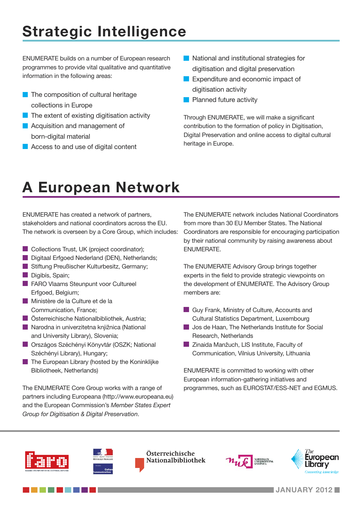# **Strategic Intelligence**

ENUMERATE builds on a number of European research programmes to provide vital qualitative and quantitative information in the following areas:

- $\blacksquare$  The composition of cultural heritage collections in Europe
- $\blacksquare$  The extent of existing digitisation activity
- **Acquisition and management of** born-digital material
- **Access to and use of digital content**
- **National and institutional strategies for** digitisation and digital preservation
- **Expenditure and economic impact of** digitisation activity
- **Planned future activity**

Through ENUMERATE, we will make a significant contribution to the formation of policy in Digitisation, Digital Preservation and online access to digital cultural heritage in Europe.

## **A European Network**

ENUMERATE has created a network of partners, stakeholders and national coordinators across the EU. The network is overseen by a Core Group, which includes:

- Collections Trust, UK (project coordinator);
- Digitaal Erfgoed Nederland (DEN), Netherlands;
- Stiftung Preußischer Kulturbesitz, Germany; Digibís, Spain;
- 
- **FARO Vlaams Steunpunt voor Cultureel** Erfgoed, Belgium;
- **Ministère de la Culture et de la** Communication, France;

a da kasa

- **DE Österreichische Nationalbibliothek, Austria:**
- Narodna in univerzitetna kniižnica (National and University Library), Slovenia;
- **Országos Széchényi Könyvtár (OSZK; National** Széchényi Library), Hungary;
- $\blacksquare$  The European Library (hosted by the Koninklijke Bibliotheek, Netherlands)

The ENUMERATE Core Group works with a range of partners including Europeana (http://www.europeana.eu) and the European Commission's *Member States Expert Group for Digitisation & Digital Preservation*.

The ENUMERATE network includes National Coordinators from more than 30 EU Member States. The National Coordinators are responsible for encouraging participation by their national community by raising awareness about ENUMERATE.

The ENUMERATE Advisory Group brings together experts in the field to provide strategic viewpoints on the development of ENUMERATE. The Advisory Group members are:

- Guy Frank, Ministry of Culture, Accounts and Cultural Statistics Department, Luxembourg
- **Jos de Haan, The Netherlands Institute for Social** Research, Netherlands
- **Zinaida Manžuch, LIS Institute, Faculty of** Communication, Vilnius University, Lithuania

ENUMERATE is committed to working with other European information-gathering initiatives and programmes, such as EUROSTAT/ESS-NET and EGMUS.